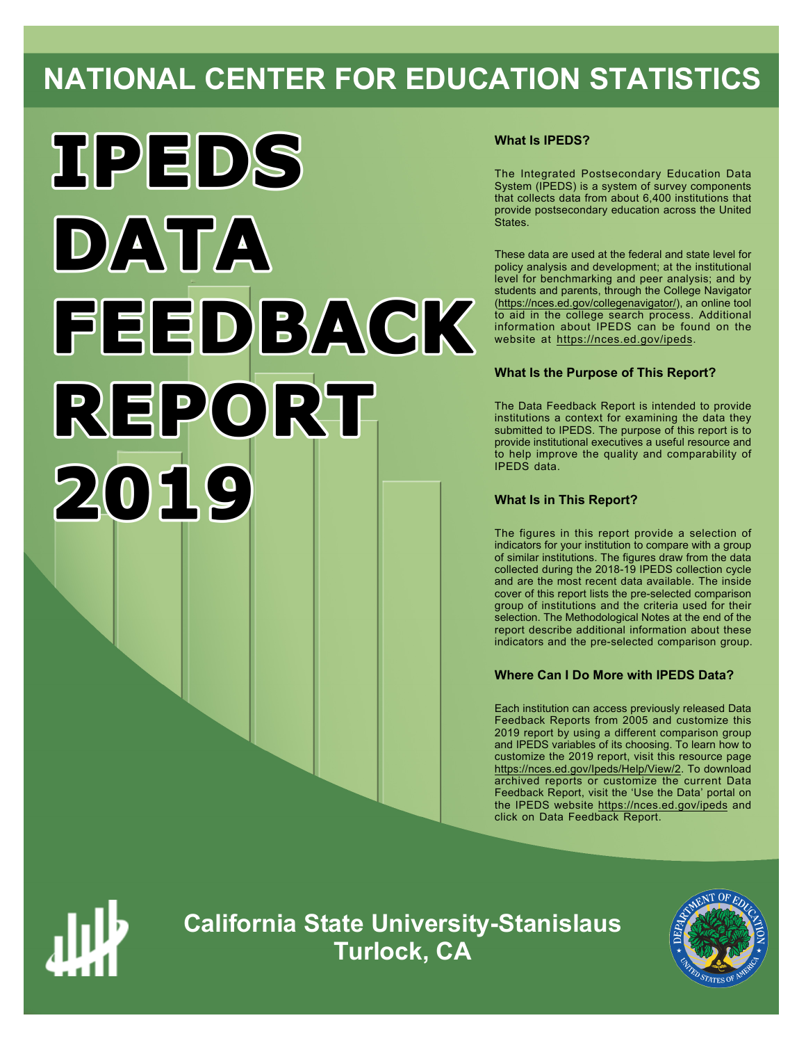# **NATIONAL CENTER FOR EDUCATION STATISTICS**



# **What Is IPEDS?**

The Integrated Postsecondary Education Data System (IPEDS) is a system of survey components that collects data from about 6,400 institutions that provide postsecondary education across the United States.

These data are used at the federal and state level for policy analysis and development; at the institutional level for benchmarking and peer analysis; and by students and parents, through the College Navigator ([https://nces.ed.gov/collegenavigator/\)](https://nces.ed.gov/collegenavigator/), an online tool to aid in the college search process. Additional information about IPEDS can be found on the website at<https://nces.ed.gov/ipeds>.

# **What Is the Purpose of This Report?**

The Data Feedback Report is intended to provide institutions a context for examining the data they submitted to IPEDS. The purpose of this report is to provide institutional executives a useful resource and to help improve the quality and comparability of IPEDS data.

# **What Is in This Report?**

The figures in this report provide a selection of indicators for your institution to compare with a group of similar institutions. The figures draw from the data collected during the 2018-19 IPEDS collection cycle and are the most recent data available. The inside cover of this report lists the pre-selected comparison group of institutions and the criteria used for their selection. The Methodological Notes at the end of the report describe additional information about these indicators and the pre-selected comparison group.

# **Where Can I Do More with IPEDS Data?**

Each institution can access previously released Data Feedback Reports from 2005 and customize this 2019 report by using a different comparison group and IPEDS variables of its choosing. To learn how to customize the 2019 report, visit this resource page <https://nces.ed.gov/Ipeds/Help/View/2>. To download archived reports or customize the current Data Feedback Report, visit the 'Use the Data' portal on the IPEDS website <https://nces.ed.gov/ipeds> and click on Data Feedback Report.



**California State University-Stanislaus Turlock, CA**

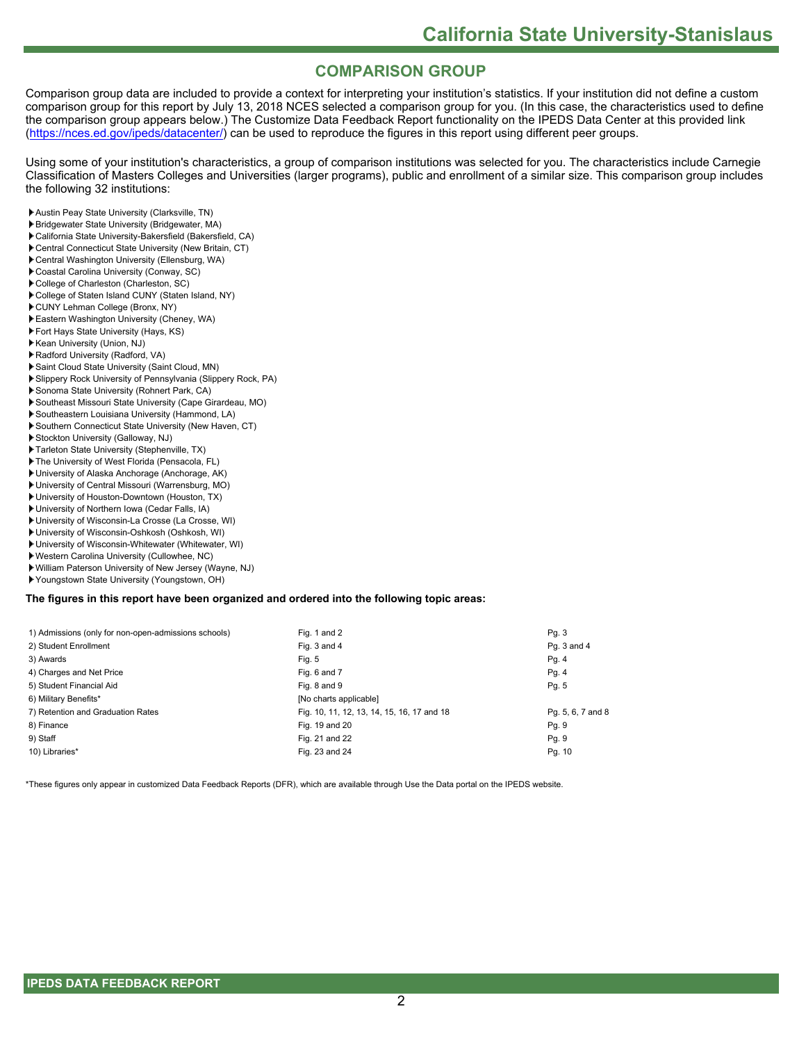# **COMPARISON GROUP**

Comparison group data are included to provide a context for interpreting your institution's statistics. If your institution did not define a custom comparison group for this report by July 13, 2018 NCES selected a comparison group for you. (In this case, the characteristics used to define the comparison group appears below.) The Customize Data Feedback Report functionality on the IPEDS Data Center at this provided link [\(https://nces.ed.gov/ipeds/datacenter/](https://nces.ed.gov/ipeds/datacenter/)) can be used to reproduce the figures in this report using different peer groups.

Using some of your institution's characteristics, a group of comparison institutions was selected for you. The characteristics include Carnegie Classification of Masters Colleges and Universities (larger programs), public and enrollment of a similar size. This comparison group includes the following 32 institutions:

- Austin Peay State University (Clarksville, TN)
- Bridgewater State University (Bridgewater, MA)
- California State University-Bakersfield (Bakersfield, CA) Central Connecticut State University (New Britain, CT)
- Central Washington University (Ellensburg, WA)
- Coastal Carolina University (Conway, SC)
- College of Charleston (Charleston, SC)
- College of Staten Island CUNY (Staten Island, NY)
- CUNY Lehman College (Bronx, NY)
- Eastern Washington University (Cheney, WA)
- Fort Hays State University (Hays, KS)
- Kean University (Union, NJ)
- Radford University (Radford, VA)
- Saint Cloud State University (Saint Cloud, MN)
- Slippery Rock University of Pennsylvania (Slippery Rock, PA)
- Sonoma State University (Rohnert Park, CA)
- Southeast Missouri State University (Cape Girardeau, MO)
- Southeastern Louisiana University (Hammond, LA)
- Southern Connecticut State University (New Haven, CT)
- Stockton University (Galloway, NJ)
- Tarleton State University (Stephenville, TX)
- The University of West Florida (Pensacola, FL)
- University of Alaska Anchorage (Anchorage, AK)
- University of Central Missouri (Warrensburg, MO)
- University of Houston-Downtown (Houston, TX)
- University of Northern Iowa (Cedar Falls, IA)
- University of Wisconsin-La Crosse (La Crosse, WI)
- University of Wisconsin-Oshkosh (Oshkosh, WI)
- University of Wisconsin-Whitewater (Whitewater, WI)
- Western Carolina University (Cullowhee, NC)
- William Paterson University of New Jersey (Wayne, NJ)
- Youngstown State University (Youngstown, OH)

#### **The figures in this report have been organized and ordered into the following topic areas:**

| 1) Admissions (only for non-open-admissions schools) | Fig. 1 and 2                               | Pg. 3             |
|------------------------------------------------------|--------------------------------------------|-------------------|
| 2) Student Enrollment                                | Fig. 3 and 4                               | Pq. 3 and 4       |
| 3) Awards                                            | Fig. 5                                     | Pg. 4             |
| 4) Charges and Net Price                             | Fig. 6 and 7                               | Pg. 4             |
| 5) Student Financial Aid                             | Fig. 8 and 9                               | Pg. 5             |
| 6) Military Benefits*                                | [No charts applicable]                     |                   |
| 7) Retention and Graduation Rates                    | Fig. 10, 11, 12, 13, 14, 15, 16, 17 and 18 | Pg. 5, 6, 7 and 8 |
| 8) Finance                                           | Fig. 19 and 20                             | Pg. 9             |
| 9) Staff                                             | Fig. 21 and 22                             | Pg. 9             |
| 10) Libraries*                                       | Fig. 23 and 24                             | Pg. 10            |

\*These figures only appear in customized Data Feedback Reports (DFR), which are available through Use the Data portal on the IPEDS website.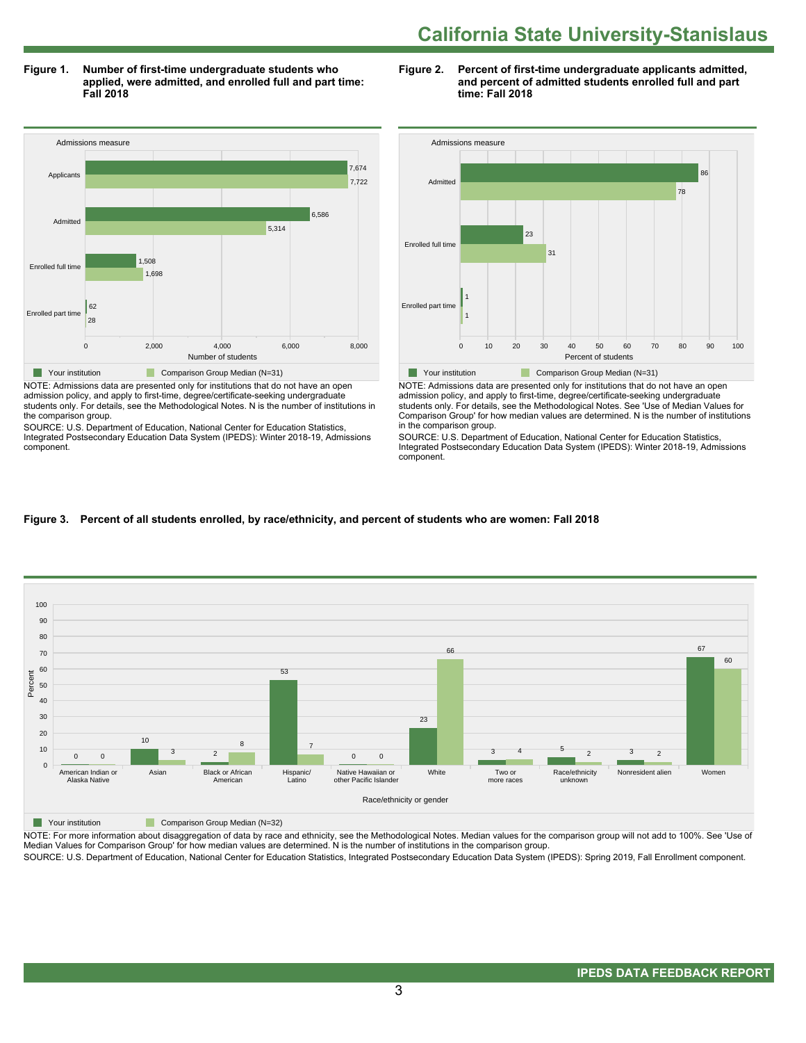**Figure 1. Number of first-time undergraduate students who applied, were admitted, and enrolled full and part time: Fall 2018**



NOTE: Admissions data are presented only for institutions that do not have an open admission policy, and apply to first-time, degree/certificate-seeking undergraduate students only. For details, see the Methodological Notes. N is the number of institutions in the comparison group.

SOURCE: U.S. Department of Education, National Center for Education Statistics, Integrated Postsecondary Education Data System (IPEDS): Winter 2018-19, Admissions component.





NOTE: Admissions data are presented only for institutions that do not have an open admission policy, and apply to first-time, degree/certificate-seeking undergraduate students only. For details, see the Methodological Notes. See 'Use of Median Values for Comparison Group' for how median values are determined. N is the number of institutions in the comparison group.

SOURCE: U.S. Department of Education, National Center for Education Statistics, Integrated Postsecondary Education Data System (IPEDS): Winter 2018-19, Admissions component.

# **Figure 3. Percent of all students enrolled, by race/ethnicity, and percent of students who are women: Fall 2018**



**Your institution** Comparison Group Median (N=32)

NOTE: For more information about disaggregation of data by race and ethnicity, see the Methodological Notes. Median values for the comparison group will not add to 100%. See 'Use of Median Values for Comparison Group' for how median values are determined. N is the number of institutions in the comparison group.

SOURCE: U.S. Department of Education, National Center for Education Statistics, Integrated Postsecondary Education Data System (IPEDS): Spring 2019, Fall Enrollment component.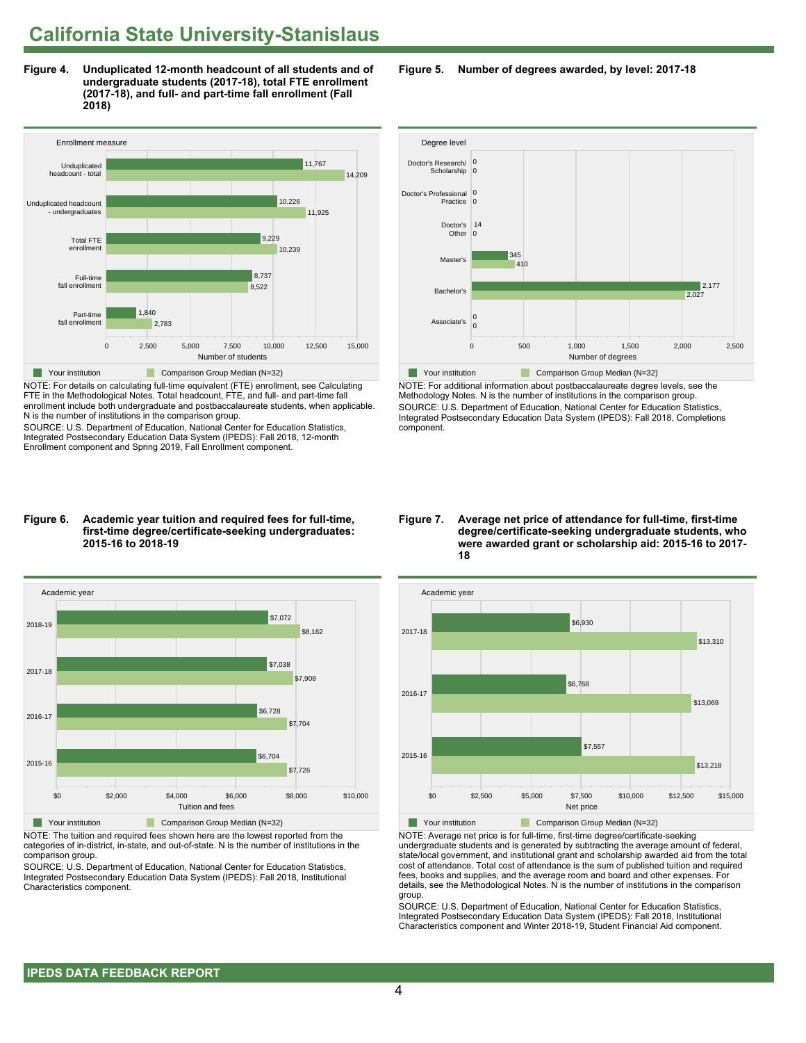**Figure 4. Unduplicated 12-month headcount of all students and of undergraduate students (2017-18), total FTE enrollment (2017-18), and full- and part-time fall enrollment (Fall 2018)**



NOTE: For details on calculating full-time equivalent (FTE) enrollment, see Calculating FTE in the Methodological Notes. Total headcount, FTE, and full- and part-time fall enrollment include both undergraduate and postbaccalaureate students, when applicable. N is the number of institutions in the comparison group.

SOURCE: U.S. Department of Education, National Center for Education Statistics, Integrated Postsecondary Education Data System (IPEDS): Fall 2018, 12-month Enrollment component and Spring 2019, Fall Enrollment component.

#### **Figure 6. Academic year tuition and required fees for full-time, first-time degree/certificate-seeking undergraduates: 2015-16 to 2018-19**



NOTE: The tuition and required fees shown here are the lowest reported from the categories of in-district, in-state, and out-of-state. N is the number of institutions in the comparison group.

SOURCE: U.S. Department of Education, National Center for Education Statistics, Integrated Postsecondary Education Data System (IPEDS): Fall 2018, Institutional Characteristics component.

**Figure 5. Number of degrees awarded, by level: 2017-18**



NOTE: For additional information about postbaccalaureate degree levels, see the Methodology Notes. N is the number of institutions in the comparison group. SOURCE: U.S. Department of Education, National Center for Education Statistics, Integrated Postsecondary Education Data System (IPEDS): Fall 2018, Completions component.

#### **Figure 7. Average net price of attendance for full-time, first-time degree/certificate-seeking undergraduate students, who were awarded grant or scholarship aid: 2015-16 to 2017- 18**



NOTE: Average net price is for full-time, first-time degree/certificate-seeking undergraduate students and is generated by subtracting the average amount of federal, state/local government, and institutional grant and scholarship awarded aid from the total cost of attendance. Total cost of attendance is the sum of published tuition and required fees, books and supplies, and the average room and board and other expenses. For details, see the Methodological Notes. N is the number of institutions in the comparison group.

SOURCE: U.S. Department of Education, National Center for Education Statistics, Integrated Postsecondary Education Data System (IPEDS): Fall 2018, Institutional Characteristics component and Winter 2018-19, Student Financial Aid component.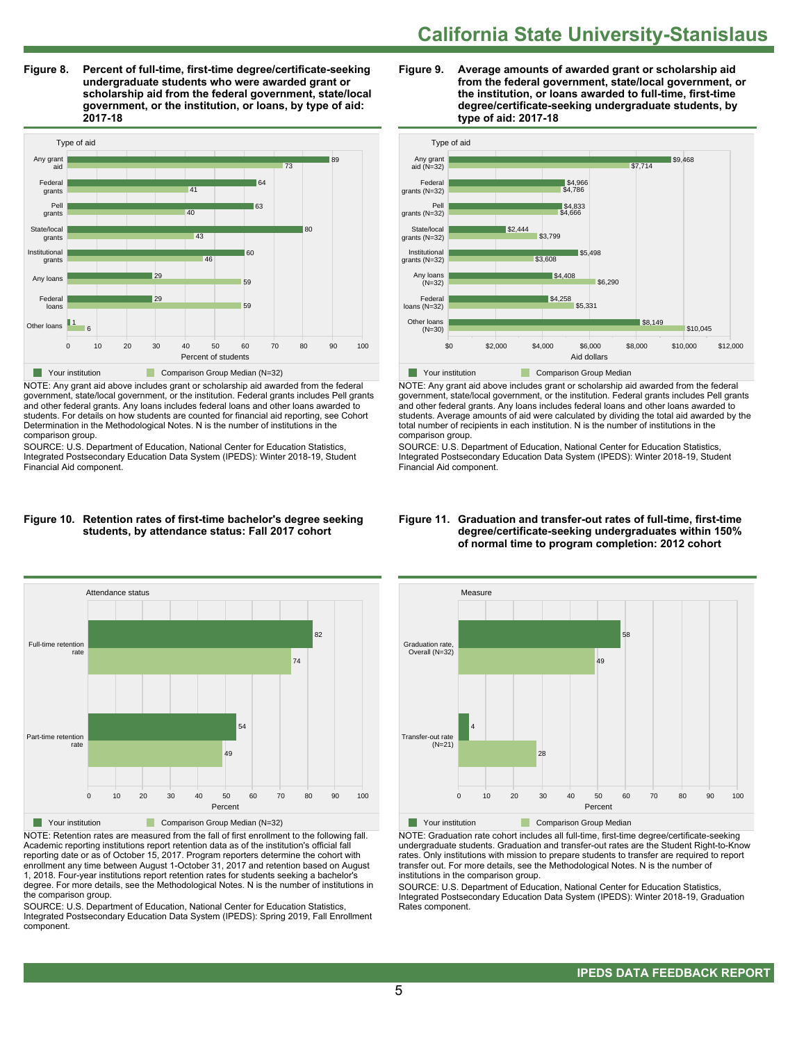**Figure 8. Percent of full-time, first-time degree/certificate-seeking undergraduate students who were awarded grant or scholarship aid from the federal government, state/local government, or the institution, or loans, by type of aid: 2017-18**



NOTE: Any grant aid above includes grant or scholarship aid awarded from the federal government, state/local government, or the institution. Federal grants includes Pell grants and other federal grants. Any loans includes federal loans and other loans awarded to students. For details on how students are counted for financial aid reporting, see Cohort Determination in the Methodological Notes. N is the number of institutions in the comparison group.

SOURCE: U.S. Department of Education, National Center for Education Statistics, Integrated Postsecondary Education Data System (IPEDS): Winter 2018-19, Student Financial Aid component.

#### **Figure 10. Retention rates of first-time bachelor's degree seeking students, by attendance status: Fall 2017 cohort**



NOTE: Retention rates are measured from the fall of first enrollment to the following fall. Academic reporting institutions report retention data as of the institution's official fall reporting date or as of October 15, 2017. Program reporters determine the cohort with enrollment any time between August 1-October 31, 2017 and retention based on August 1, 2018. Four-year institutions report retention rates for students seeking a bachelor's degree. For more details, see the Methodological Notes. N is the number of institutions in the comparison group.

SOURCE: U.S. Department of Education, National Center for Education Statistics, Integrated Postsecondary Education Data System (IPEDS): Spring 2019, Fall Enrollment component.





NOTE: Any grant aid above includes grant or scholarship aid awarded from the federal government, state/local government, or the institution. Federal grants includes Pell grants and other federal grants. Any loans includes federal loans and other loans awarded to students. Average amounts of aid were calculated by dividing the total aid awarded by the total number of recipients in each institution. N is the number of institutions in the comparison group.

SOURCE: U.S. Department of Education, National Center for Education Statistics, Integrated Postsecondary Education Data System (IPEDS): Winter 2018-19, Student Financial Aid component.



NOTE: Graduation rate cohort includes all full-time, first-time degree/certificate-seeking undergraduate students. Graduation and transfer-out rates are the Student Right-to-Know rates. Only institutions with mission to prepare students to transfer are required to report transfer out. For more details, see the Methodological Notes. N is the number of institutions in the comparison group.

SOURCE: U.S. Department of Education, National Center for Education Statistics, Integrated Postsecondary Education Data System (IPEDS): Winter 2018-19, Graduation Rates component.

#### **Figure 11. Graduation and transfer-out rates of full-time, first-time degree/certificate-seeking undergraduates within 150% of normal time to program completion: 2012 cohort**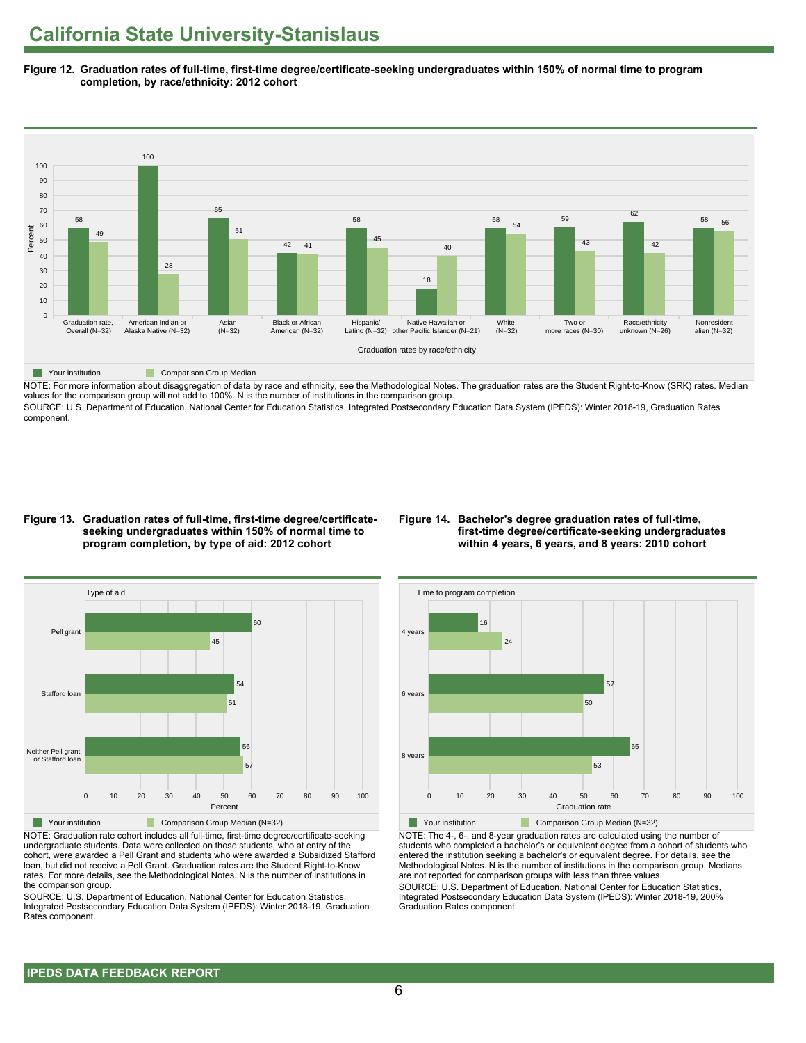**Figure 12. Graduation rates of full-time, first-time degree/certificate-seeking undergraduates within 150% of normal time to program completion, by race/ethnicity: 2012 cohort**



NOTE: For more information about disaggregation of data by race and ethnicity, see the Methodological Notes. The graduation rates are the Student Right-to-Know (SRK) rates. Median values for the comparison group will not add to 100%. N is the number of institutions in the comparison group.

SOURCE: U.S. Department of Education, National Center for Education Statistics, Integrated Postsecondary Education Data System (IPEDS): Winter 2018-19, Graduation Rates component.

# **Figure 13. Graduation rates of full-time, first-time degree/certificateseeking undergraduates within 150% of normal time to program completion, by type of aid: 2012 cohort**

# **Figure 14. Bachelor's degree graduation rates of full-time, first-time degree/certificate-seeking undergraduates within 4 years, 6 years, and 8 years: 2010 cohort**



NOTE: Graduation rate cohort includes all full-time, first-time degree/certificate-seeking undergraduate students. Data were collected on those students, who at entry of the cohort, were awarded a Pell Grant and students who were awarded a Subsidized Stafford loan, but did not receive a Pell Grant. Graduation rates are the Student Right-to-Know rates. For more details, see the Methodological Notes. N is the number of institutions in the comparison group.

SOURCE: U.S. Department of Education, National Center for Education Statistics, Integrated Postsecondary Education Data System (IPEDS): Winter 2018-19, Graduation Rates component.



NOTE: The 4-, 6-, and 8-year graduation rates are calculated using the number of students who completed a bachelor's or equivalent degree from a cohort of students who entered the institution seeking a bachelor's or equivalent degree. For details, see the Methodological Notes. N is the number of institutions in the comparison group. Medians are not reported for comparison groups with less than three values.

SOURCE: U.S. Department of Education, National Center for Education Statistics, Integrated Postsecondary Education Data System (IPEDS): Winter 2018-19, 200% Graduation Rates component.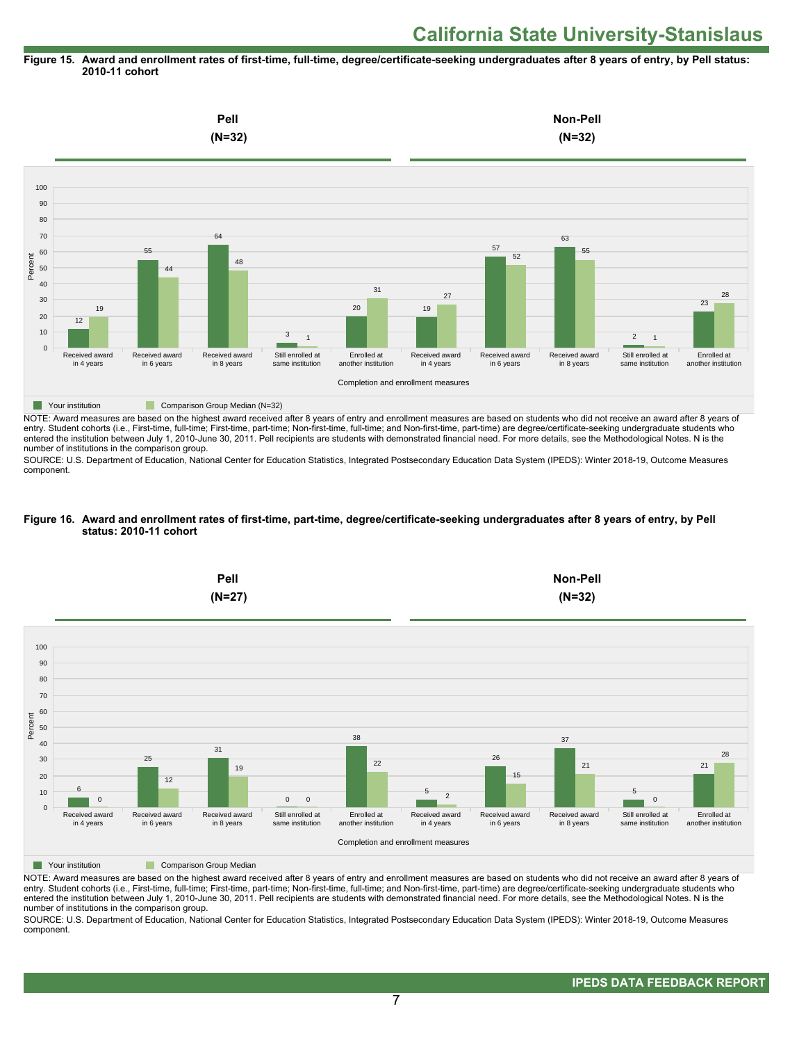#### **Figure 15. Award and enrollment rates of first-time, full-time, degree/certificate-seeking undergraduates after 8 years of entry, by Pell status: 2010-11 cohort**



NOTE: Award measures are based on the highest award received after 8 years of entry and enrollment measures are based on students who did not receive an award after 8 years of entry. Student cohorts (i.e., First-time, full-time; First-time, part-time; Non-first-time, full-time; and Non-first-time, part-time) are degree/certificate-seeking undergraduate students who entered the institution between July 1, 2010-June 30, 2011. Pell recipients are students with demonstrated financial need. For more details, see the Methodological Notes. N is the number of institutions in the comparison group.

SOURCE: U.S. Department of Education, National Center for Education Statistics, Integrated Postsecondary Education Data System (IPEDS): Winter 2018-19, Outcome Measures component.

#### **Figure 16. Award and enrollment rates of first-time, part-time, degree/certificate-seeking undergraduates after 8 years of entry, by Pell status: 2010-11 cohort**



NOTE: Award measures are based on the highest award received after 8 years of entry and enrollment measures are based on students who did not receive an award after 8 years of entry. Student cohorts (i.e., First-time, full-time; First-time, part-time; Non-first-time, full-time; and Non-first-time, part-time) are degree/certificate-seeking undergraduate students who entered the institution between July 1, 2010-June 30, 2011. Pell recipients are students with demonstrated financial need. For more details, see the Methodological Notes. N is the number of institutions in the comparison group.

SOURCE: U.S. Department of Education, National Center for Education Statistics, Integrated Postsecondary Education Data System (IPEDS): Winter 2018-19, Outcome Measures component.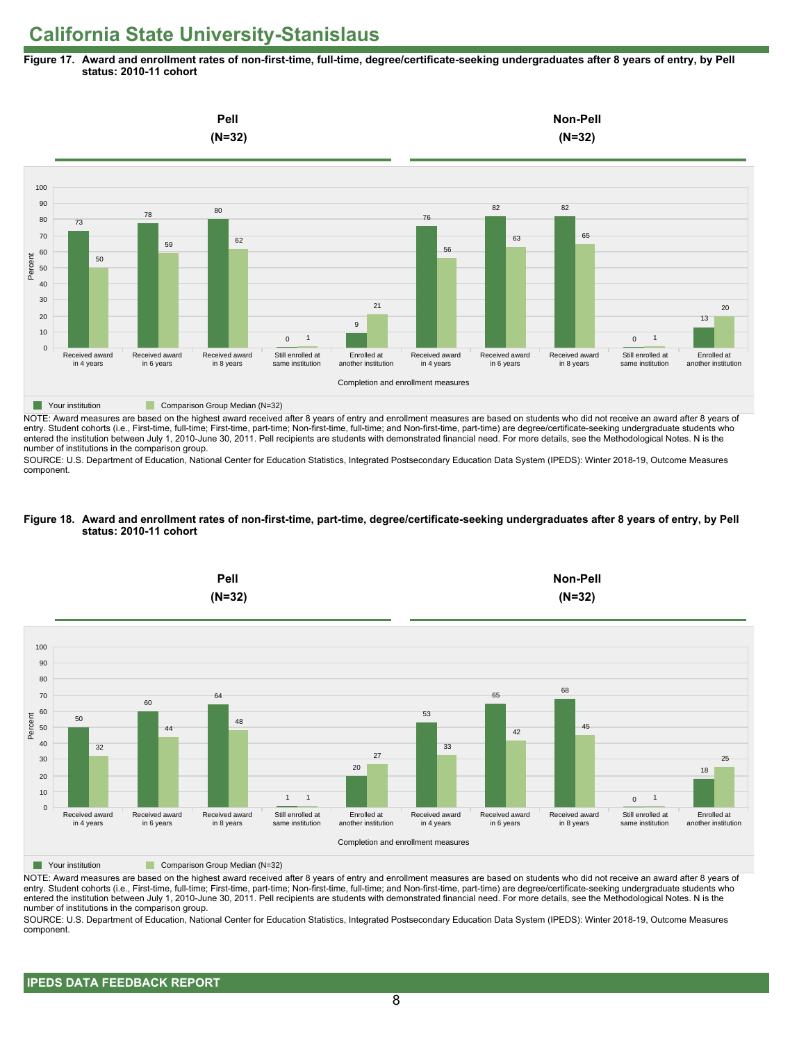**Figure 17. Award and enrollment rates of non-first-time, full-time, degree/certificate-seeking undergraduates after 8 years of entry, by Pell status: 2010-11 cohort**



NOTE: Award measures are based on the highest award received after 8 years of entry and enrollment measures are based on students who did not receive an award after 8 years of entry. Student cohorts (i.e., First-time, full-time; First-time, part-time; Non-first-time, full-time; and Non-first-time, part-time) are degree/certificate-seeking undergraduate students who entered the institution between July 1, 2010-June 30, 2011. Pell recipients are students with demonstrated financial need. For more details, see the Methodological Notes. N is the number of institutions in the comparison group.

SOURCE: U.S. Department of Education, National Center for Education Statistics, Integrated Postsecondary Education Data System (IPEDS): Winter 2018-19, Outcome Measures component.

#### **Figure 18. Award and enrollment rates of non-first-time, part-time, degree/certificate-seeking undergraduates after 8 years of entry, by Pell status: 2010-11 cohort**



NOTE: Award measures are based on the highest award received after 8 years of entry and enrollment measures are based on students who did not receive an award after 8 years of entry. Student cohorts (i.e., First-time, full-time; First-time, part-time; Non-first-time, full-time; and Non-first-time, part-time) are degree/certificate-seeking undergraduate students who entered the institution between July 1, 2010-June 30, 2011. Pell recipients are students with demonstrated financial need. For more details, see the Methodological Notes. N is the number of institutions in the comparison group.

SOURCE: U.S. Department of Education, National Center for Education Statistics, Integrated Postsecondary Education Data System (IPEDS): Winter 2018-19, Outcome Measures component.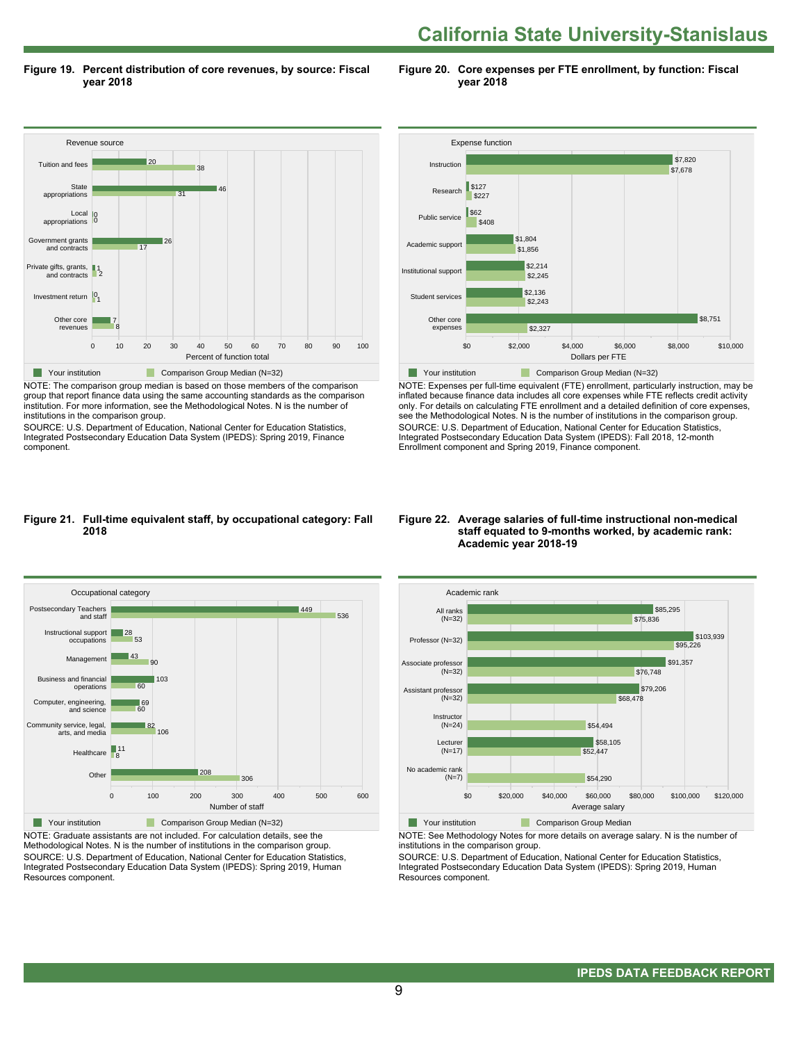**Figure 19. Percent distribution of core revenues, by source: Fiscal year 2018**

**Figure 20. Core expenses per FTE enrollment, by function: Fiscal year 2018**



NOTE: The comparison group median is based on those members of the comparison group that report finance data using the same accounting standards as the comparison institution. For more information, see the Methodological Notes. N is the number of institutions in the comparison group.

SOURCE: U.S. Department of Education, National Center for Education Statistics, Integrated Postsecondary Education Data System (IPEDS): Spring 2019, Finance component.



NOTE: Expenses per full-time equivalent (FTE) enrollment, particularly instruction, may be inflated because finance data includes all core expenses while FTE reflects credit activity only. For details on calculating FTE enrollment and a detailed definition of core expenses, see the Methodological Notes. N is the number of institutions in the comparison group. SOURCE: U.S. Department of Education, National Center for Education Statistics, Integrated Postsecondary Education Data System (IPEDS): Fall 2018, 12-month Enrollment component and Spring 2019, Finance component.

#### **Figure 21. Full-time equivalent staff, by occupational category: Fall 2018**



NOTE: Graduate assistants are not included. For calculation details, see the Methodological Notes. N is the number of institutions in the comparison group. SOURCE: U.S. Department of Education, National Center for Education Statistics, Integrated Postsecondary Education Data System (IPEDS): Spring 2019, Human Resources component.

#### **Figure 22. Average salaries of full-time instructional non-medical staff equated to 9-months worked, by academic rank: Academic year 2018-19**



NOTE: See Methodology Notes for more details on average salary. N is the number of institutions in the comparison group.

SOURCE: U.S. Department of Education, National Center for Education Statistics, Integrated Postsecondary Education Data System (IPEDS): Spring 2019, Human Resources component.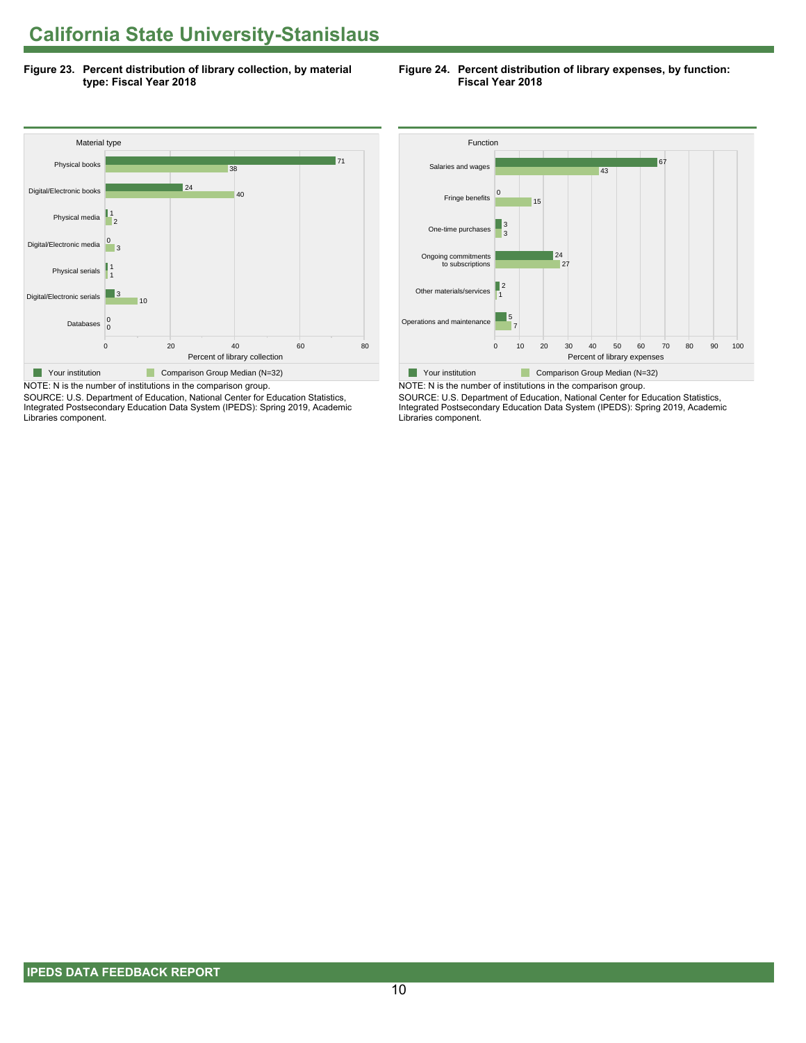**Figure 23. Percent distribution of library collection, by material type: Fiscal Year 2018**





SOURCE: U.S. Department of Education, National Center for Education Statistics, Integrated Postsecondary Education Data System (IPEDS): Spring 2019, Academic Libraries component.



NOTE: N is the number of institutions in the comparison group. SOURCE: U.S. Department of Education, National Center for Education Statistics, Integrated Postsecondary Education Data System (IPEDS): Spring 2019, Academic Libraries component.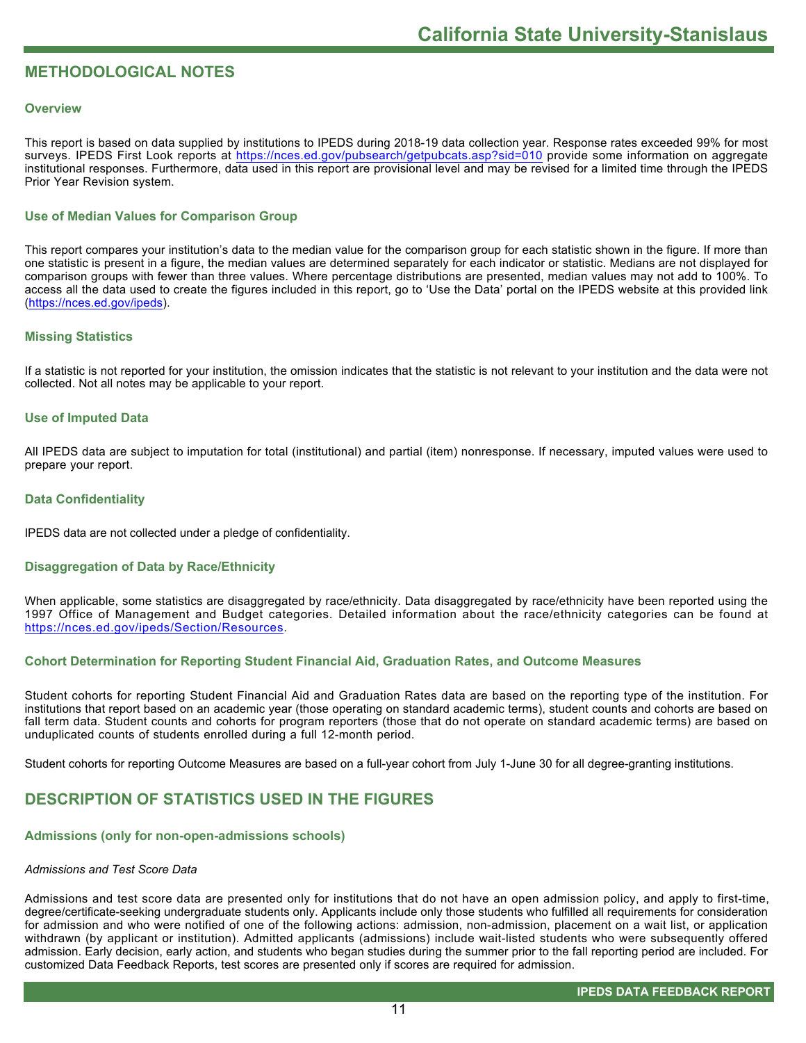# **METHODOLOGICAL NOTES**

# **Overview**

This report is based on data supplied by institutions to IPEDS during 2018-19 data collection year. Response rates exceeded 99% for most surveys. IPEDS First Look reports at<https://nces.ed.gov/pubsearch/getpubcats.asp?sid=010> provide some information on aggregate institutional responses. Furthermore, data used in this report are provisional level and may be revised for a limited time through the IPEDS Prior Year Revision system.

# **Use of Median Values for Comparison Group**

This report compares your institution's data to the median value for the comparison group for each statistic shown in the figure. If more than one statistic is present in a figure, the median values are determined separately for each indicator or statistic. Medians are not displayed for comparison groups with fewer than three values. Where percentage distributions are presented, median values may not add to 100%. To access all the data used to create the figures included in this report, go to 'Use the Data' portal on the IPEDS website at this provided link ([https://nces.ed.gov/ipeds\)](https://nces.ed.gov/ipeds).

# **Missing Statistics**

If a statistic is not reported for your institution, the omission indicates that the statistic is not relevant to your institution and the data were not collected. Not all notes may be applicable to your report.

# **Use of Imputed Data**

All IPEDS data are subject to imputation for total (institutional) and partial (item) nonresponse. If necessary, imputed values were used to prepare your report.

# **Data Confidentiality**

IPEDS data are not collected under a pledge of confidentiality.

# **Disaggregation of Data by Race/Ethnicity**

When applicable, some statistics are disaggregated by race/ethnicity. Data disaggregated by race/ethnicity have been reported using the 1997 Office of Management and Budget categories. Detailed information about the race/ethnicity categories can be found at <https://nces.ed.gov/ipeds/Section/Resources>.

# **Cohort Determination for Reporting Student Financial Aid, Graduation Rates, and Outcome Measures**

Student cohorts for reporting Student Financial Aid and Graduation Rates data are based on the reporting type of the institution. For institutions that report based on an academic year (those operating on standard academic terms), student counts and cohorts are based on fall term data. Student counts and cohorts for program reporters (those that do not operate on standard academic terms) are based on unduplicated counts of students enrolled during a full 12-month period.

Student cohorts for reporting Outcome Measures are based on a full-year cohort from July 1-June 30 for all degree-granting institutions.

# **DESCRIPTION OF STATISTICS USED IN THE FIGURES**

# **Admissions (only for non-open-admissions schools)**

# *Admissions and Test Score Data*

Admissions and test score data are presented only for institutions that do not have an open admission policy, and apply to first-time, degree/certificate-seeking undergraduate students only. Applicants include only those students who fulfilled all requirements for consideration for admission and who were notified of one of the following actions: admission, non-admission, placement on a wait list, or application withdrawn (by applicant or institution). Admitted applicants (admissions) include wait-listed students who were subsequently offered admission. Early decision, early action, and students who began studies during the summer prior to the fall reporting period are included. For customized Data Feedback Reports, test scores are presented only if scores are required for admission.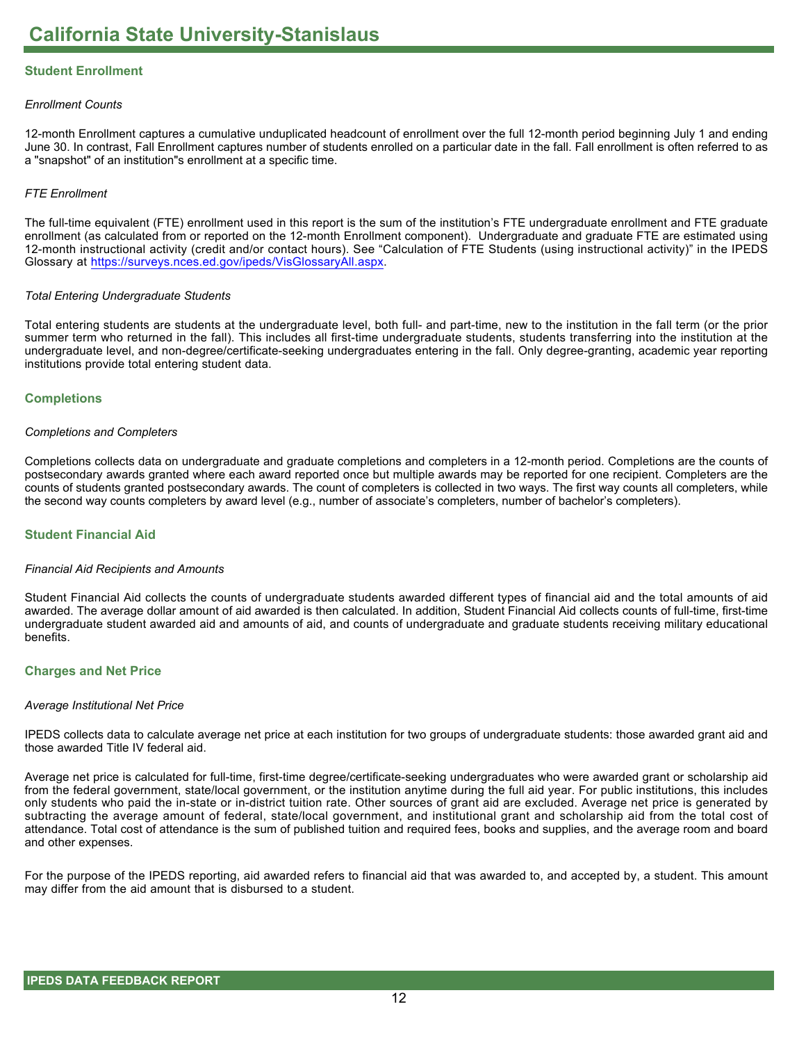# **Student Enrollment**

# *Enrollment Counts*

12-month Enrollment captures a cumulative unduplicated headcount of enrollment over the full 12-month period beginning July 1 and ending June 30. In contrast, Fall Enrollment captures number of students enrolled on a particular date in the fall. Fall enrollment is often referred to as a "snapshot" of an institution"s enrollment at a specific time.

# *FTE Enrollment*

The full-time equivalent (FTE) enrollment used in this report is the sum of the institution's FTE undergraduate enrollment and FTE graduate enrollment (as calculated from or reported on the 12-month Enrollment component). Undergraduate and graduate FTE are estimated using 12-month instructional activity (credit and/or contact hours). See "Calculation of FTE Students (using instructional activity)" in the IPEDS Glossary at <https://surveys.nces.ed.gov/ipeds/VisGlossaryAll.aspx>.

# *Total Entering Undergraduate Students*

Total entering students are students at the undergraduate level, both full- and part-time, new to the institution in the fall term (or the prior summer term who returned in the fall). This includes all first-time undergraduate students, students transferring into the institution at the undergraduate level, and non-degree/certificate-seeking undergraduates entering in the fall. Only degree-granting, academic year reporting institutions provide total entering student data.

# **Completions**

# *Completions and Completers*

Completions collects data on undergraduate and graduate completions and completers in a 12-month period. Completions are the counts of postsecondary awards granted where each award reported once but multiple awards may be reported for one recipient. Completers are the counts of students granted postsecondary awards. The count of completers is collected in two ways. The first way counts all completers, while the second way counts completers by award level (e.g., number of associate's completers, number of bachelor's completers).

# **Student Financial Aid**

# *Financial Aid Recipients and Amounts*

Student Financial Aid collects the counts of undergraduate students awarded different types of financial aid and the total amounts of aid awarded. The average dollar amount of aid awarded is then calculated. In addition, Student Financial Aid collects counts of full-time, first-time undergraduate student awarded aid and amounts of aid, and counts of undergraduate and graduate students receiving military educational benefits.

# **Charges and Net Price**

#### *Average Institutional Net Price*

IPEDS collects data to calculate average net price at each institution for two groups of undergraduate students: those awarded grant aid and those awarded Title IV federal aid.

Average net price is calculated for full-time, first-time degree/certificate-seeking undergraduates who were awarded grant or scholarship aid from the federal government, state/local government, or the institution anytime during the full aid year. For public institutions, this includes only students who paid the in-state or in-district tuition rate. Other sources of grant aid are excluded. Average net price is generated by subtracting the average amount of federal, state/local government, and institutional grant and scholarship aid from the total cost of attendance. Total cost of attendance is the sum of published tuition and required fees, books and supplies, and the average room and board and other expenses.

For the purpose of the IPEDS reporting, aid awarded refers to financial aid that was awarded to, and accepted by, a student. This amount may differ from the aid amount that is disbursed to a student.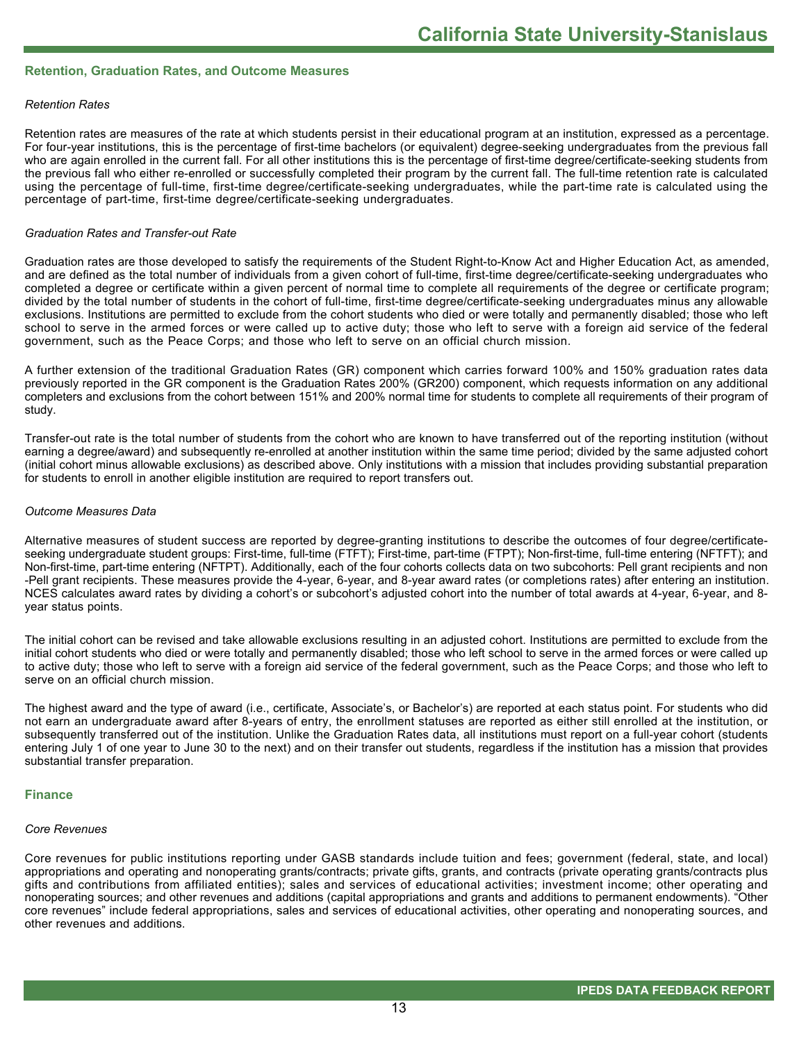# **Retention, Graduation Rates, and Outcome Measures**

# *Retention Rates*

Retention rates are measures of the rate at which students persist in their educational program at an institution, expressed as a percentage. For four-year institutions, this is the percentage of first-time bachelors (or equivalent) degree-seeking undergraduates from the previous fall who are again enrolled in the current fall. For all other institutions this is the percentage of first-time degree/certificate-seeking students from the previous fall who either re-enrolled or successfully completed their program by the current fall. The full-time retention rate is calculated using the percentage of full-time, first-time degree/certificate-seeking undergraduates, while the part-time rate is calculated using the percentage of part-time, first-time degree/certificate-seeking undergraduates.

# *Graduation Rates and Transfer-out Rate*

Graduation rates are those developed to satisfy the requirements of the Student Right-to-Know Act and Higher Education Act, as amended, and are defined as the total number of individuals from a given cohort of full-time, first-time degree/certificate-seeking undergraduates who completed a degree or certificate within a given percent of normal time to complete all requirements of the degree or certificate program; divided by the total number of students in the cohort of full-time, first-time degree/certificate-seeking undergraduates minus any allowable exclusions. Institutions are permitted to exclude from the cohort students who died or were totally and permanently disabled; those who left school to serve in the armed forces or were called up to active duty; those who left to serve with a foreign aid service of the federal government, such as the Peace Corps; and those who left to serve on an official church mission.

A further extension of the traditional Graduation Rates (GR) component which carries forward 100% and 150% graduation rates data previously reported in the GR component is the Graduation Rates 200% (GR200) component, which requests information on any additional completers and exclusions from the cohort between 151% and 200% normal time for students to complete all requirements of their program of study.

Transfer-out rate is the total number of students from the cohort who are known to have transferred out of the reporting institution (without earning a degree/award) and subsequently re-enrolled at another institution within the same time period; divided by the same adjusted cohort (initial cohort minus allowable exclusions) as described above. Only institutions with a mission that includes providing substantial preparation for students to enroll in another eligible institution are required to report transfers out.

# *Outcome Measures Data*

Alternative measures of student success are reported by degree-granting institutions to describe the outcomes of four degree/certificateseeking undergraduate student groups: First-time, full-time (FTFT); First-time, part-time (FTPT); Non-first-time, full-time entering (NFTFT); and Non-first-time, part-time entering (NFTPT). Additionally, each of the four cohorts collects data on two subcohorts: Pell grant recipients and non -Pell grant recipients. These measures provide the 4-year, 6-year, and 8-year award rates (or completions rates) after entering an institution. NCES calculates award rates by dividing a cohort's or subcohort's adjusted cohort into the number of total awards at 4-year, 6-year, and 8year status points.

The initial cohort can be revised and take allowable exclusions resulting in an adjusted cohort. Institutions are permitted to exclude from the initial cohort students who died or were totally and permanently disabled; those who left school to serve in the armed forces or were called up to active duty; those who left to serve with a foreign aid service of the federal government, such as the Peace Corps; and those who left to serve on an official church mission.

The highest award and the type of award (i.e., certificate, Associate's, or Bachelor's) are reported at each status point. For students who did not earn an undergraduate award after 8-years of entry, the enrollment statuses are reported as either still enrolled at the institution, or subsequently transferred out of the institution. Unlike the Graduation Rates data, all institutions must report on a full-year cohort (students entering July 1 of one year to June 30 to the next) and on their transfer out students, regardless if the institution has a mission that provides substantial transfer preparation.

# **Finance**

# *Core Revenues*

Core revenues for public institutions reporting under GASB standards include tuition and fees; government (federal, state, and local) appropriations and operating and nonoperating grants/contracts; private gifts, grants, and contracts (private operating grants/contracts plus gifts and contributions from affiliated entities); sales and services of educational activities; investment income; other operating and nonoperating sources; and other revenues and additions (capital appropriations and grants and additions to permanent endowments). "Other core revenues" include federal appropriations, sales and services of educational activities, other operating and nonoperating sources, and other revenues and additions.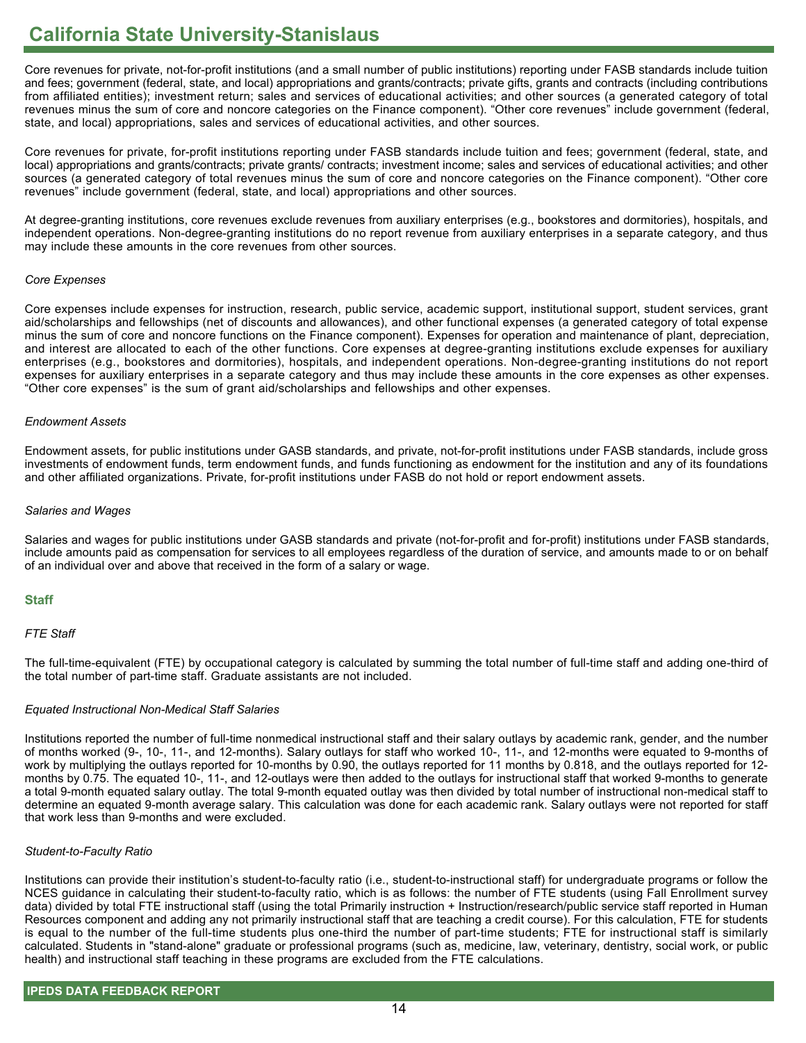Core revenues for private, not-for-profit institutions (and a small number of public institutions) reporting under FASB standards include tuition and fees; government (federal, state, and local) appropriations and grants/contracts; private gifts, grants and contracts (including contributions from affiliated entities); investment return; sales and services of educational activities; and other sources (a generated category of total revenues minus the sum of core and noncore categories on the Finance component). "Other core revenues" include government (federal, state, and local) appropriations, sales and services of educational activities, and other sources.

Core revenues for private, for-profit institutions reporting under FASB standards include tuition and fees; government (federal, state, and local) appropriations and grants/contracts; private grants/ contracts; investment income; sales and services of educational activities; and other sources (a generated category of total revenues minus the sum of core and noncore categories on the Finance component). "Other core revenues" include government (federal, state, and local) appropriations and other sources.

At degree-granting institutions, core revenues exclude revenues from auxiliary enterprises (e.g., bookstores and dormitories), hospitals, and independent operations. Non-degree-granting institutions do no report revenue from auxiliary enterprises in a separate category, and thus may include these amounts in the core revenues from other sources.

# *Core Expenses*

Core expenses include expenses for instruction, research, public service, academic support, institutional support, student services, grant aid/scholarships and fellowships (net of discounts and allowances), and other functional expenses (a generated category of total expense minus the sum of core and noncore functions on the Finance component). Expenses for operation and maintenance of plant, depreciation, and interest are allocated to each of the other functions. Core expenses at degree-granting institutions exclude expenses for auxiliary enterprises (e.g., bookstores and dormitories), hospitals, and independent operations. Non-degree-granting institutions do not report expenses for auxiliary enterprises in a separate category and thus may include these amounts in the core expenses as other expenses. "Other core expenses" is the sum of grant aid/scholarships and fellowships and other expenses.

# *Endowment Assets*

Endowment assets, for public institutions under GASB standards, and private, not-for-profit institutions under FASB standards, include gross investments of endowment funds, term endowment funds, and funds functioning as endowment for the institution and any of its foundations and other affiliated organizations. Private, for-profit institutions under FASB do not hold or report endowment assets.

# *Salaries and Wages*

Salaries and wages for public institutions under GASB standards and private (not-for-profit and for-profit) institutions under FASB standards, include amounts paid as compensation for services to all employees regardless of the duration of service, and amounts made to or on behalf of an individual over and above that received in the form of a salary or wage.

# **Staff**

# *FTE Staff*

The full-time-equivalent (FTE) by occupational category is calculated by summing the total number of full-time staff and adding one-third of the total number of part-time staff. Graduate assistants are not included.

# *Equated Instructional Non-Medical Staff Salaries*

Institutions reported the number of full-time nonmedical instructional staff and their salary outlays by academic rank, gender, and the number of months worked (9-, 10-, 11-, and 12-months). Salary outlays for staff who worked 10-, 11-, and 12-months were equated to 9-months of work by multiplying the outlays reported for 10-months by 0.90, the outlays reported for 11 months by 0.818, and the outlays reported for 12 months by 0.75. The equated 10-, 11-, and 12-outlays were then added to the outlays for instructional staff that worked 9-months to generate a total 9-month equated salary outlay. The total 9-month equated outlay was then divided by total number of instructional non-medical staff to determine an equated 9-month average salary. This calculation was done for each academic rank. Salary outlays were not reported for staff that work less than 9-months and were excluded.

# *Student-to-Faculty Ratio*

Institutions can provide their institution's student-to-faculty ratio (i.e., student-to-instructional staff) for undergraduate programs or follow the NCES guidance in calculating their student-to-faculty ratio, which is as follows: the number of FTE students (using Fall Enrollment survey data) divided by total FTE instructional staff (using the total Primarily instruction + Instruction/research/public service staff reported in Human Resources component and adding any not primarily instructional staff that are teaching a credit course). For this calculation, FTE for students is equal to the number of the full-time students plus one-third the number of part-time students; FTE for instructional staff is similarly calculated. Students in "stand-alone" graduate or professional programs (such as, medicine, law, veterinary, dentistry, social work, or public health) and instructional staff teaching in these programs are excluded from the FTE calculations.